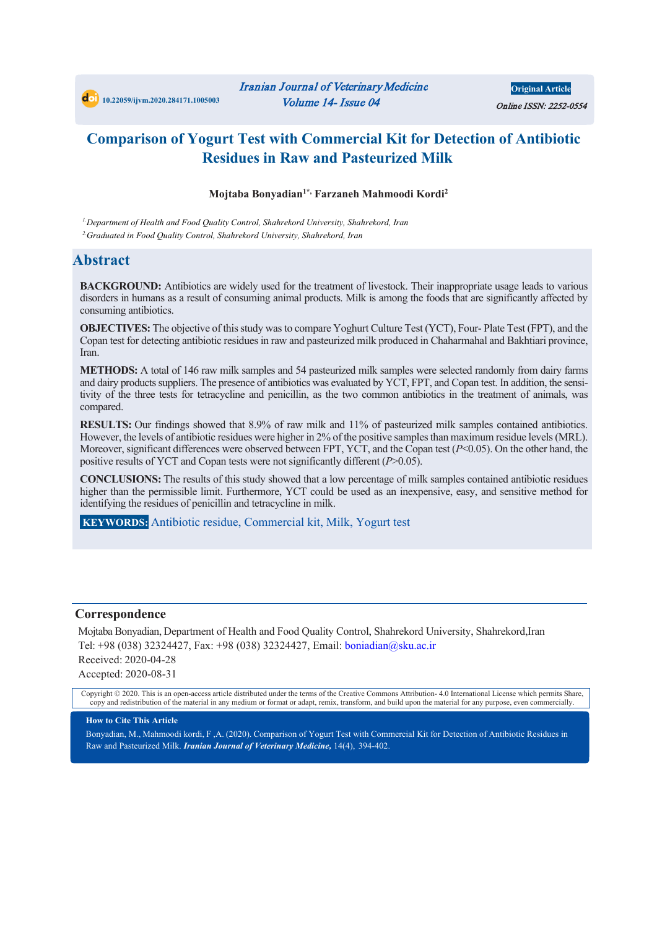**Original Article** Online ISSN: 2252-0554

# **Comparison of Yogurt Test with Commercial Kit for Detection of Antibiotic Residues in Raw and Pasteurized Milk**

#### **Mojtaba Bonyadian1\*, Farzaneh Mahmoodi Kordi2**

*1.Department of Health and Food Quality Control, Shahrekord University, Shahrekord, Iran 2.Graduated in Food Quality Control, Shahrekord University, Shahrekord, Iran*

#### **Abstract**

**BACKGROUND:** Antibiotics are widely used for the treatment of livestock. Their inappropriate usage leads to various disorders in humans as a result of consuming animal products. Milk is among the foods that are significantly affected by consuming antibiotics.

**OBJECTIVES:** The objective of this study was to compare Yoghurt Culture Test (YCT), Four- Plate Test (FPT), and the Copan test for detecting antibiotic residues in raw and pasteurized milk produced in Chaharmahal and Bakhtiari province, Iran.

**METHODS:** A total of 146 raw milk samples and 54 pasteurized milk samples were selected randomly from dairy farms and dairy products suppliers. The presence of antibiotics was evaluated by YCT, FPT, and Copan test. In addition, the sensitivity of the three tests for tetracycline and penicillin, as the two common antibiotics in the treatment of animals, was compared.

**RESULTS:** Our findings showed that 8.9% of raw milk and 11% of pasteurized milk samples contained antibiotics. However, the levels of antibiotic residues were higher in 2% of the positive samples than maximum residue levels (MRL). Moreover, significant differences were observed between FPT, YCT, and the Copan test (*P*<0.05). On the other hand, the positive results of YCT and Copan tests were not significantly different (*P*>0.05).

**CONCLUSIONS:** The results of this study showed that a low percentage of milk samples contained antibiotic residues higher than the permissible limit. Furthermore, YCT could be used as an inexpensive, easy, and sensitive method for identifying the residues of penicillin and tetracycline in milk.

**KEYWORDS:** Antibiotic residue, Commercial kit, Milk, Yogurt test

#### **Correspondence**

Mojtaba Bonyadian, Department of Health and Food Quality Control, Shahrekord University, Shahrekord,Iran Tel: +98 (038) 32324427, Fax: +98 (038) 32324427, Email: boniadian@sku.ac.ir Received: 2020-04-28 Accepted: 2020-08-31

Copyright © 2020. This is an open-access article distributed under the terms of the Creative Commons Attribution- 4.0 International License which permits Share, copy and redistribution of the material in any medium or format or adapt, remix, transform, and build upon the material for any purpose, even commercially.

#### **How to Cite This Article**

Bonyadian, M., Mahmoodi kordi, F ,A. (2020). Comparison of Yogurt Test with Commercial Kit for Detection of Antibiotic Residues in Raw and Pasteurized Milk. *Iranian Journal of Veterinary Medicine,* 14(4), 394-402.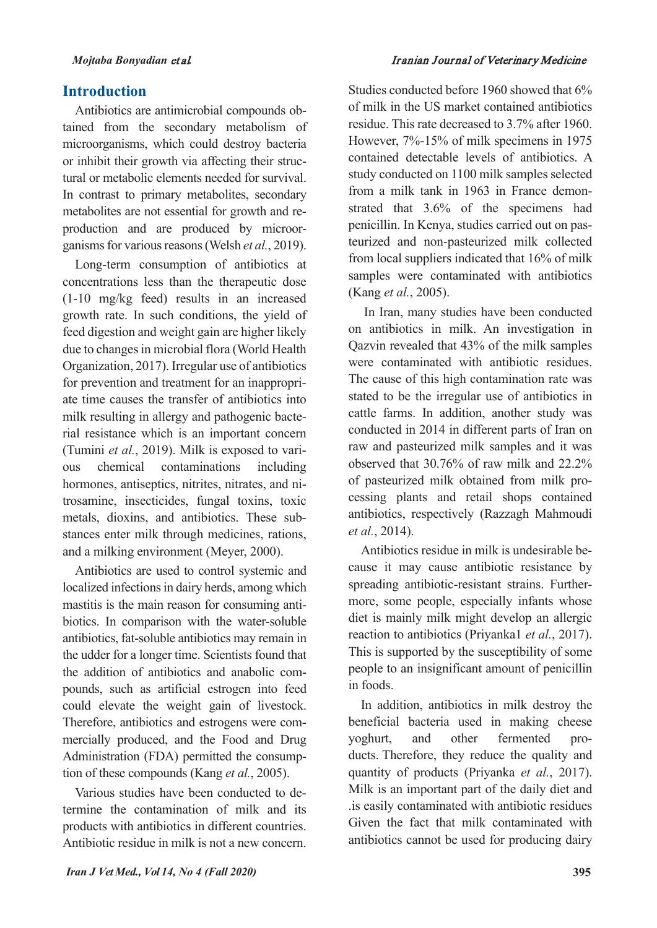#### **Introduction**

Antibiotics are antimicrobial compounds obtained from the secondary metabolism of microorganisms, which could destroy bacteria or inhibit their growth via affecting their structural or metabolic elements needed for survival. In contrast to primary metabolites, secondary metabolites are not essential for growth and reproduction and are produced by microorganisms for various reasons (Welsh *et al.*, 2019).

Long-term consumption of antibiotics at concentrations less than the therapeutic dose (1-10 mg/kg feed) results in an increased growth rate. In such conditions, the yield of feed digestion and weight gain are higher likely due to changes in microbial flora (World Health Organization, 2017). Irregular use of antibiotics for prevention and treatment for an inappropriate time causes the transfer of antibiotics into milk resulting in allergy and pathogenic bacterial resistance which is an important concern (Tumini *et al.*, 2019). Milk is exposed to various chemical contaminations including hormones, antiseptics, nitrites, nitrates, and nitrosamine, insecticides, fungal toxins, toxic metals, dioxins, and antibiotics. These substances enter milk through medicines, rations, and a milking environment (Meyer, 2000).

Antibiotics are used to control systemic and localized infections in dairy herds, among which mastitis is the main reason for consuming antibiotics. In comparison with the water-soluble antibiotics, fat-soluble antibiotics may remain in the udder for a longer time. Scientists found that the addition of antibiotics and anabolic compounds, such as artificial estrogen into feed could elevate the weight gain of livestock. Therefore, antibiotics and estrogens were commercially produced, and the Food and Drug Administration (FDA) permitted the consumption of these compounds (Kang *et al.*, 2005).

Various studies have been conducted to determine the contamination of milk and its products with antibiotics in different countries. Antibiotic residue in milk is not a new concern.

Studies conducted before 1960 showed that 6% of milk in the US market contained antibiotics residue. This rate decreased to 3.7% after 1960. However, 7%-15% of milk specimens in 1975 contained detectable levels of antibiotics. A study conducted on 1100 milk samples selected from a milk tank in 1963 in France demonstrated that 3.6% of the specimens had penicillin. In Kenya, studies carried out on pasteurized and non-pasteurized milk collected from local suppliers indicated that 16% of milk samples were contaminated with antibiotics (Kang *et al.*, 2005).

In Iran, many studies have been conducted on antibiotics in milk. An investigation in Qazvin revealed that 43% of the milk samples were contaminated with antibiotic residues. The cause of this high contamination rate was stated to be the irregular use of antibiotics in cattle farms. In addition, another study was conducted in 2014 in different parts of Iran on raw and pasteurized milk samples and it was observed that 30.76% of raw milk and 22.2% of pasteurized milk obtained from milk processing plants and retail shops contained antibiotics, respectively (Razzagh Mahmoudi *et al.*, 2014).

Antibiotics residue in milk is undesirable because it may cause antibiotic resistance by spreading antibiotic-resistant strains. Furthermore, some people, especially infants whose diet is mainly milk might develop an allergic reaction to antibiotics (Priyanka1 *et al.*, 2017). This is supported by the susceptibility of some people to an insignificant amount of penicillin in foods.

 In addition, antibiotics in milk destroy the beneficial bacteria used in making cheese yoghurt, and other fermented products. Therefore, they reduce the quality and quantity of products (Priyanka *et al.*, 2017). Milk is an important part of the daily diet and .is easily contaminated with antibiotic residues Given the fact that milk contaminated with antibiotics cannot be used for producing dairy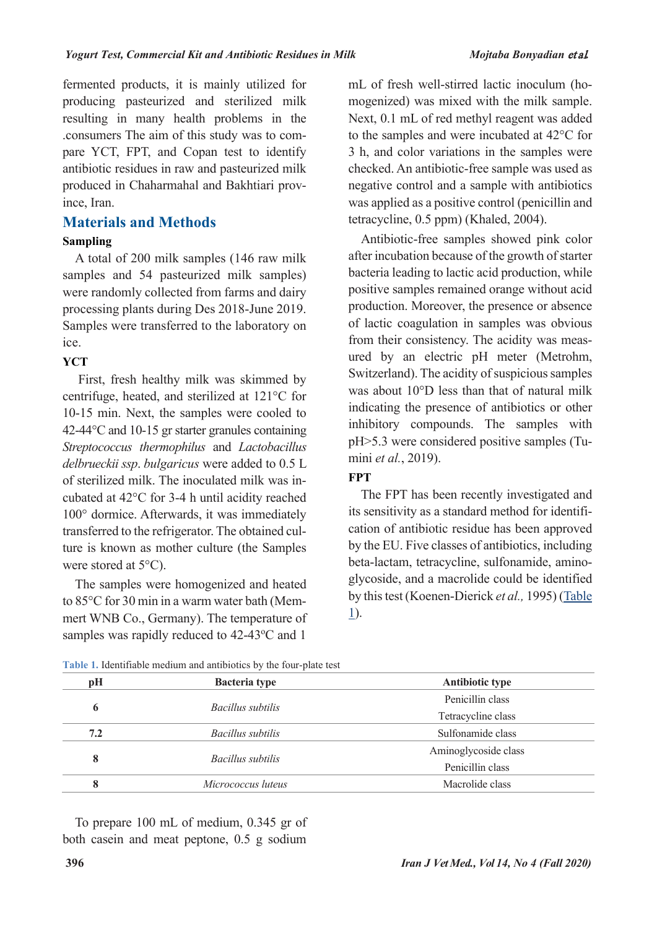fermented products, it is mainly utilized for producing pasteurized and sterilized milk resulting in many health problems in the .consumers The aim of this study was to compare YCT, FPT, and Copan test to identify antibiotic residues in raw and pasteurized milk produced in Chaharmahal and Bakhtiari province, Iran.

### **Materials and Methods**

#### **Sampling**

A total of 200 milk samples (146 raw milk samples and 54 pasteurized milk samples) were randomly collected from farms and dairy processing plants during Des 2018-June 2019. Samples were transferred to the laboratory on ice.

#### **YCT**

First, fresh healthy milk was skimmed by centrifuge, heated, and sterilized at 121°C for 10-15 min. Next, the samples were cooled to 42-44°C and 10-15 gr starter granules containing *Streptococcus thermophilus* and *Lactobacillus delbrueckii ssp*. *bulgaricus* were added to 0.5 L of sterilized milk. The inoculated milk was incubated at 42°C for 3-4 h until acidity reached 100° dormice. Afterwards, it was immediately transferred to the refrigerator. The obtained culture is known as mother culture (the Samples were stored at 5°C).

The samples were homogenized and heated to 85°C for 30 min in a warm water bath (Memmert WNB Co., Germany). The temperature of samples was rapidly reduced to 42-43°C and 1

mL of fresh well-stirred lactic inoculum (homogenized) was mixed with the milk sample. Next, 0.1 mL of red methyl reagent was added to the samples and were incubated at 42°C for 3 h, and color variations in the samples were checked. An antibiotic-free sample was used as negative control and a sample with antibiotics was applied as a positive control (penicillin and tetracycline, 0.5 ppm) (Khaled, 2004).

Antibiotic-free samples showed pink color after incubation because of the growth of starter bacteria leading to lactic acid production, while positive samples remained orange without acid production. Moreover, the presence or absence of lactic coagulation in samples was obvious from their consistency. The acidity was measured by an electric pH meter (Metrohm, Switzerland). The acidity of suspicious samples was about 10°D less than that of natural milk indicating the presence of antibiotics or other inhibitory compounds. The samples with pH>5.3 were considered positive samples (Tumini *et al.*, 2019).

#### **FPT**

The FPT has been recently investigated and its sensitivity as a standard method for identification of antibiotic residue has been approved by the EU. Five classes of antibiotics, including beta-lactam, tetracycline, sulfonamide, aminoglycoside, and a macrolide could be identified by thistest (Koenen-Dierick *et al.,* 1995) [\(Table](#page-2-0) [1\)](#page-2-0).

| pH  | <b>Bacteria type</b> | <b>Antibiotic type</b> |  |
|-----|----------------------|------------------------|--|
| 6   |                      | Penicillin class       |  |
|     | Bacillus subtilis    | Tetracycline class     |  |
| 7.2 | Bacillus subtilis    | Sulfonamide class      |  |
| 8   |                      | Aminoglycoside class   |  |
|     | Bacillus subtilis    | Penicillin class       |  |
| 8   | Micrococcus luteus   | Macrolide class        |  |

<span id="page-2-0"></span>**Table 1.** Identifiable medium and antibiotics by the four-plate test

To prepare 100 mL of medium, 0.345 gr of both casein and meat peptone, 0.5 g sodium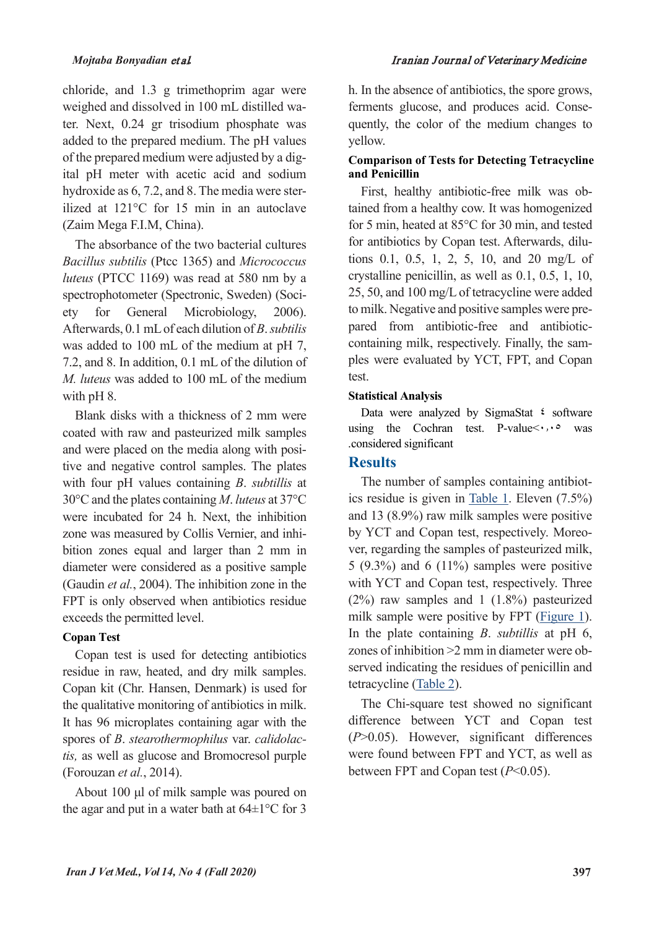chloride, and 1.3 g trimethoprim agar were weighed and dissolved in 100 mL distilled water. Next, 0.24 gr trisodium phosphate was added to the prepared medium. The pH values of the prepared medium were adjusted by a digital pH meter with acetic acid and sodium hydroxide as 6, 7.2, and 8. The media were sterilized at 121°C for 15 min in an autoclave (Zaim Mega F.I.M, China).

The absorbance of the two bacterial cultures *Bacillus subtilis* (Ptcc 1365) and *Micrococcus luteus* (PTCC 1169) was read at 580 nm by a spectrophotometer (Spectronic, Sweden) (Society for General Microbiology, 2006). Afterwards, 0.1 mLof each dilution of *B*.*subtilis* was added to 100 mL of the medium at pH 7. 7.2, and 8. In addition, 0.1 mL of the dilution of *M. luteus* was added to 100 mL of the medium with pH 8.

Blank disks with a thickness of 2 mm were coated with raw and pasteurized milk samples and were placed on the media along with positive and negative control samples. The plates with four pH values containing *B*. *subtillis* at 30°C and the plates containing *M*. *luteus* at 37°C were incubated for 24 h. Next, the inhibition zone was measured by Collis Vernier, and inhibition zones equal and larger than 2 mm in diameter were considered as a positive sample (Gaudin *et al.*, 2004). The inhibition zone in the FPT is only observed when antibiotics residue exceeds the permitted level.

## **Copan Test**

Copan test is used for detecting antibiotics residue in raw, heated, and dry milk samples. Copan kit (Chr. Hansen, Denmark) is used for the qualitative monitoring of antibiotics in milk. It has 96 microplates containing agar with the spores of *B*. *stearothermophilus* var. *calidolactis,* as well as glucose and Bromocresol purple (Forouzan *et al.*, 2014).

About 100 μl of milk sample was poured on the agar and put in a water bath at  $64\pm1\degree$ C for 3

h. In the absence of antibiotics, the spore grows, ferments glucose, and produces acid. Consequently, the color of the medium changes to yellow.

### **Comparison of Tests for Detecting Tetracycline and Penicillin**

First, healthy antibiotic-free milk was obtained from a healthy cow. It was homogenized for 5 min, heated at 85°C for 30 min, and tested for antibiotics by Copan test. Afterwards, dilutions 0.1, 0.5, 1, 2, 5, 10, and 20 mg/L of crystalline penicillin, as well as 0.1, 0.5, 1, 10, 25, 50, and 100 mg/L of tetracycline were added to milk. Negative and positive samples were prepared from antibiotic-free and antibioticcontaining milk, respectively. Finally, the samples were evaluated by YCT, FPT, and Copan test.

#### **Statistical Analysis**

Data were analyzed by SigmaStat <sup>2</sup> software using the Cochran test. P-value $\leq \cdot$ ,  $\cdot \circ$  was .considered significant

#### **Results**

The number of samples containing antibiotics residue is given in [Table](#page-2-0) 1. Eleven (7.5%) and 13 (8.9%) raw milk samples were positive by YCT and Copan test, respectively. Moreover, regarding the samples of pasteurized milk, 5 (9.3%) and 6 (11%) samples were positive with YCT and Copan test, respectively. Three (2%) raw samples and 1 (1.8%) pasteurized milk sample were positive by FPT [\(Figure](#page-4-0) 1). In the plate containing *B*. *subtillis* at pH 6, zones of inhibition >2 mm in diameter were observed indicating the residues of penicillin and tetracycline [\(Table](#page-4-1) 2).

The Chi-square test showed no significant difference between YCT and Copan test (*P*>0.05). However, significant differences were found between FPT and YCT, as well as between FPT and Copan test (*P*<0.05).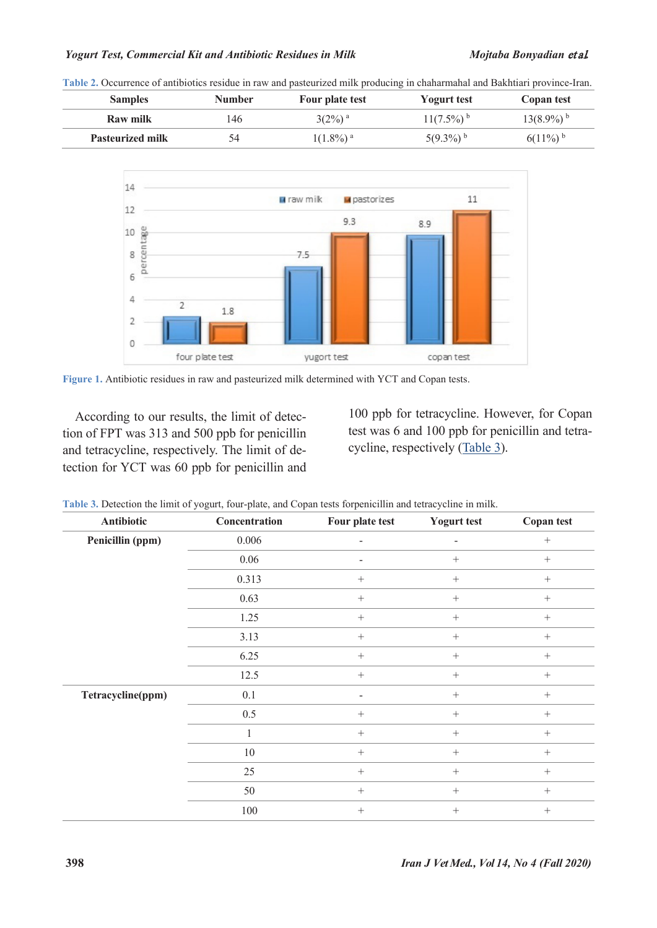#### *Yogurt Test, Commercial Kit and Antibiotic Residues in Milk Mojtaba Bonyadian* et al*.*

<span id="page-4-1"></span>**Table 2.** Occurrence of antibiotics residue in raw and pasteurized milk producing in chaharmahal and Bakhtiari province-Iran.

| <b>Samples</b>          | Number | Four plate test         | <b>Yogurt test</b>       | Copan test               |
|-------------------------|--------|-------------------------|--------------------------|--------------------------|
| Raw milk                | 146    | $3(2\%)$ <sup>a</sup>   | $11(7.5\%)$ <sup>b</sup> | $13(8.9\%)$ <sup>b</sup> |
| <b>Pasteurized milk</b> | 54     | $1(1.8\%)$ <sup>a</sup> | $5(9.3\%)$ <sup>b</sup>  | $6(11\%)$ <sup>b</sup>   |



<span id="page-4-0"></span>**Figure 1.** Antibiotic residues in raw and pasteurized milk determined with YCT and Copan tests.

According to our results, the limit of detection of FPT was 313 and 500 ppb for penicillin and tetracycline, respectively. The limit of detection for YCT was 60 ppb for penicillin and

100 ppb for tetracycline. However, for Copan test was 6 and 100 ppb for penicillin and tetracycline, respectively [\(Table](#page-4-2) 3).

<span id="page-4-2"></span>

|  | Table 3. Detection the limit of yogurt, four-plate, and Copan tests forpenicillin and tetracycline in milk. |  |
|--|-------------------------------------------------------------------------------------------------------------|--|
|  |                                                                                                             |  |

| Antibiotic        | Concentration | Four plate test | <b>Yogurt test</b>       | <b>Copan test</b> |
|-------------------|---------------|-----------------|--------------------------|-------------------|
| Penicillin (ppm)  | 0.006         | -               | $\overline{\phantom{a}}$ | $\! + \!\!\!\!$   |
|                   | 0.06          |                 | $\! + \!\!\!\!$          | $\! + \!\!\!\!$   |
|                   | 0.313         | $^{+}$          | $^{+}$                   | $^{+}$            |
|                   | 0.63          | $^{+}$          | $^{+}$                   | $^{+}$            |
|                   | 1.25          | $\! + \!\!\!\!$ | $\! + \!\!\!\!$          | $\! + \!\!\!\!$   |
|                   | 3.13          | $^{+}$          | $^{+}$                   | $+$               |
|                   | 6.25          | $^{+}$          | $\! + \!\!\!\!$          | $+$               |
|                   | 12.5          | $^{+}$          | $^{+}$                   | $^{+}$            |
| Tetracycline(ppm) | 0.1           | -               | $\! + \!\!\!\!$          | $+$               |
|                   | 0.5           | $^{+}$          |                          | $+$               |
|                   | 1             | $^{+}$          | $\! + \!\!\!\!$          | $+$               |
|                   | $10\,$        | $^{+}$          | $^{+}$                   | $^{+}$            |
|                   | 25            | $^{+}$          | $\! + \!\!\!\!$          | $+$               |
|                   | 50            | $^{+}$          | $^{+}$                   | $+$               |
|                   | 100           | $^{+}$          |                          | $+$               |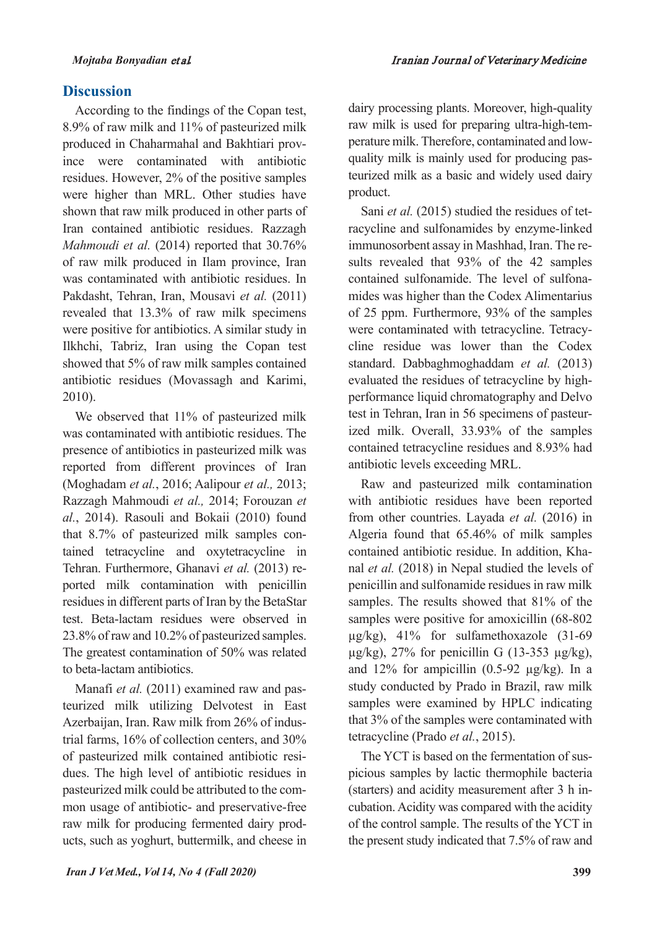# **Discussion**

According to the findings of the Copan test, 8.9% of raw milk and 11% of pasteurized milk produced in Chaharmahal and Bakhtiari province were contaminated with antibiotic residues. However, 2% of the positive samples were higher than MRL. Other studies have shown that raw milk produced in other parts of Iran contained antibiotic residues. Razzagh *Mahmoudi et al.* (2014) reported that 30.76% of raw milk produced in Ilam province, Iran was contaminated with antibiotic residues. In Pakdasht, Tehran, Iran, Mousavi *et al.* (2011) revealed that 13.3% of raw milk specimens were positive for antibiotics. A similar study in Ilkhchi, Tabriz, Iran using the Copan test showed that 5% of raw milk samples contained antibiotic residues (Movassagh and Karimi, 2010).

We observed that 11% of pasteurized milk was contaminated with antibiotic residues. The presence of antibiotics in pasteurized milk was reported from different provinces of Iran (Moghadam *et al.*, 2016; Aalipour *et al.,* 2013; Razzagh Mahmoudi *et al.,* 2014; Forouzan *et al.*, 2014). Rasouli and Bokaii (2010) found that 8.7% of pasteurized milk samples contained tetracycline and oxytetracycline in Tehran. Furthermore, Ghanavi *et al.* (2013) reported milk contamination with penicillin residuesin different parts of Iran by the BetaStar test. Beta-lactam residues were observed in 23.8% of raw and 10.2% of pasteurized samples. The greatest contamination of 50% was related to beta-lactam antibiotics.

Manafi *et al.* (2011) examined raw and pasteurized milk utilizing Delvotest in East Azerbaijan, Iran. Raw milk from 26% of industrial farms, 16% of collection centers, and 30% of pasteurized milk contained antibiotic residues. The high level of antibiotic residues in pasteurized milk could be attributed to the common usage of antibiotic- and preservative-free raw milk for producing fermented dairy products, such as yoghurt, buttermilk, and cheese in dairy processing plants. Moreover, high-quality raw milk is used for preparing ultra-high-temperature milk. Therefore, contaminated and lowquality milk is mainly used for producing pasteurized milk as a basic and widely used dairy product.

Sani *et al.* (2015) studied the residues of tetracycline and sulfonamides by enzyme-linked immunosorbent assay in Mashhad, Iran. The results revealed that 93% of the 42 samples contained sulfonamide. The level of sulfonamides was higher than the Codex Alimentarius of 25 ppm. Furthermore, 93% of the samples were contaminated with tetracycline. Tetracycline residue was lower than the Codex standard. Dabbaghmoghaddam *et al.* (2013) evaluated the residues of tetracycline by highperformance liquid chromatography and Delvo test in Tehran, Iran in 56 specimens of pasteurized milk. Overall, 33.93% of the samples contained tetracycline residues and 8.93% had antibiotic levels exceeding MRL.

Raw and pasteurized milk contamination with antibiotic residues have been reported from other countries. Layada *et al.* (2016) in Algeria found that 65.46% of milk samples contained antibiotic residue. In addition, Khanal *et al.* (2018) in Nepal studied the levels of penicillin and sulfonamide residues in raw milk samples. The results showed that 81% of the samples were positive for amoxicillin (68-802 µg/kg), 41% for sulfamethoxazole (31-69  $\mu$ g/kg), 27% for penicillin G (13-353  $\mu$ g/kg), and  $12\%$  for ampicillin  $(0.5-92 \mu g/kg)$ . In a study conducted by Prado in Brazil, raw milk samples were examined by HPLC indicating that 3% of the samples were contaminated with tetracycline (Prado *et al.*, 2015).

The YCT is based on the fermentation of suspicious samples by lactic thermophile bacteria (starters) and acidity measurement after 3 h incubation.Acidity was compared with the acidity of the control sample. The results of the YCT in the present study indicated that 7.5% of raw and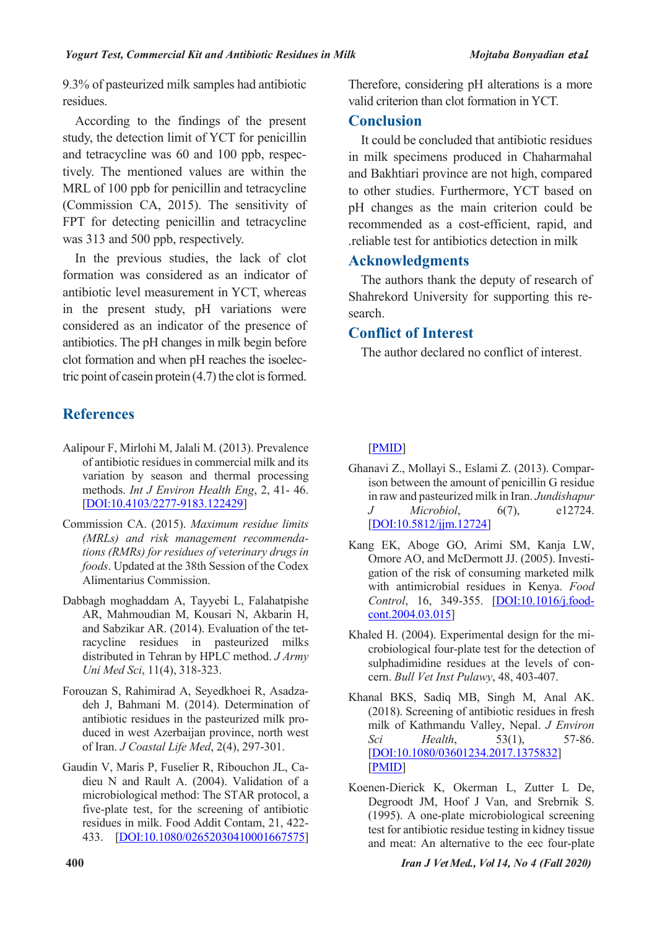9.3% of pasteurized milk samples had antibiotic residues.

According to the findings of the present study, the detection limit of YCT for penicillin and tetracycline was 60 and 100 ppb, respectively. The mentioned values are within the MRL of 100 ppb for penicillin and tetracycline (Commission CA, 2015). The sensitivity of FPT for detecting penicillin and tetracycline was 313 and 500 ppb, respectively.

 In the previous studies, the lack of clot formation was considered as an indicator of antibiotic level measurement in YCT, whereas in the present study, pH variations were considered as an indicator of the presence of antibiotics. The pH changes in milk begin before clot formation and when pH reaches the isoelectric point of casein protein  $(4.7)$  the clot is formed.

# **References**

- Aalipour F, Mirlohi M, Jalali M. (2013). Prevalence of antibiotic residues in commercial milk and its variation by season and thermal processing methods. *Int J Environ Health Eng*, 2, 41- 46. [DOI:10.4103/2277-9183.122429]
- Commission CA. (2015). *Maximum residue limits (MRLs) and risk management recommendations (RMRs) for residues of veterinary drugs in foods*. Updated at the 38th Session of the Codex Alimentarius Commission.
- Dabbagh moghaddam A, Tayyebi L, Falahatpishe AR, Mahmoudian M, Kousari N, Akbarin H, and Sabzikar AR. (2014). Evaluation of the tetracycline residues in pasteurized milks distributed in Tehran by HPLC method. *J Army Uni Med Sci*, 11(4), 318-323.
- Forouzan S, Rahimirad A, Seyedkhoei R, Asadzadeh J, Bahmani M. (2014). Determination of antibiotic residues in the pasteurized milk produced in west Azerbaijan province, north west of Iran. *J Coastal Life Med*, 2(4), 297-301.
- Gaudin V, Maris P, Fuselier R, Ribouchon JL, Cadieu N and Rault A. (2004). Validation of a microbiological method: The STAR protocol, a five-plate test, for the screening of antibiotic residues in milk. Food Addit Contam, 21, 422- 433. [DOI:10.1080/02652030410001667575]

Therefore, considering pH alterations is a more valid criterion than clot formation in YCT.

# **Conclusion**

 It could be concluded that antibiotic residues in milk specimens produced in Chaharmahal and Bakhtiari province are not high, compared to other studies. Furthermore, YCT based on pH changes as the main criterion could be recommended as a cost-efficient, rapid, and .reliable test for antibiotics detection in milk

#### **Acknowledgments**

The authors thank the deputy of research of Shahrekord University for supporting this research.

## **Conflict of Interest**

The author declared no conflict of interest.

[PMID]

- Ghanavi Z., Mollayi S., Eslami Z. (2013). Comparison between the amount of penicillin G residue in raw and pasteurized milk in Iran. *Jundishapur J Microbiol*, 6(7), e12724. [DOI:10.5812/jjm.12724]
- Kang EK, Aboge GO, Arimi SM, Kanja LW, Omore AO, and McDermott JJ. (2005). Investigation of the risk of consuming marketed milk with antimicrobial residues in Kenya. *Food Control*, 16, 349-355. [DOI:10.1016/j.foodcont.2004.03.015]
- Khaled H. (2004). Experimental design for the microbiological four-plate test for the detection of sulphadimidine residues at the levels of concern. *Bull Vet Inst Pulawy*, 48, 403-407.
- Khanal BKS, Sadiq MB, Singh M, Anal AK. (2018). Screening of antibiotic residues in fresh milk of Kathmandu Valley, Nepal. *J Environ Sci Health*, 53(1), 57-86. [DOI:10.1080/03601234.2017.1375832] [PMID]
- Koenen-Dierick K, Okerman L, Zutter L De, Degroodt JM, Hoof J Van, and Srebrnik S. (1995). A one-plate microbiological screening test for antibiotic residue testing in kidney tissue and meat: An alternative to the eec four-plate

**400** *Iran J Vet Med., Vol 14, No 4 (Fall 2020)*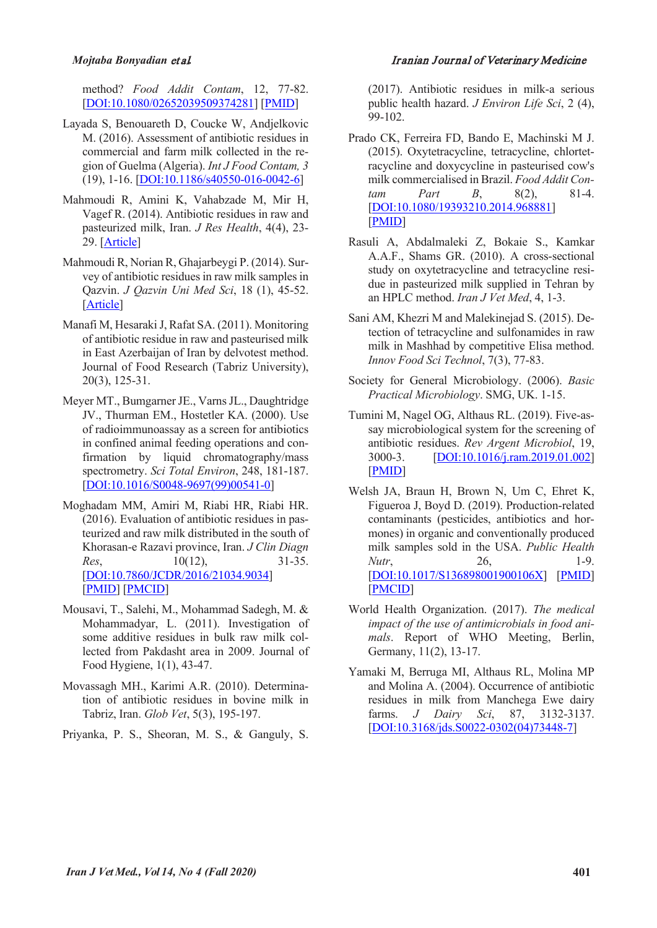#### *Mojtaba Bonyadian* et al*.* Iranian Journal of Veterinary Medicine

method? *Food Addit Contam*, 12, 77-82. [DOI:10.1080/02652039509374281] [PMID]

- Layada S, Benouareth D, Coucke W, Andjelkovic M. (2016). Assessment of antibiotic residues in commercial and farm milk collected in the region of Guelma (Algeria). *Int J Food Contam, 3* (19), 1-16. [DOI:10.1186/s40550-016-0042-6]
- Mahmoudi R, Amini K, Vahabzade M, Mir H, Vagef R. (2014). Antibiotic residues in raw and pasteurized milk, Iran. *J Res Health*, 4(4), 23- 29. [Article]
- Mahmoudi R, Norian R, Ghajarbeygi P. (2014). Survey of antibiotic residues in raw milk samples in Qazvin. *J Qazvin Uni Med Sci*, 18 (1), 45-52. [Article]
- Manafi M, Hesaraki J, Rafat SA. (2011). Monitoring of antibiotic residue in raw and pasteurised milk in East Azerbaijan of Iran by delvotest method. Journal of Food Research (Tabriz University), 20(3), 125-31.
- Meyer MT., Bumgarner JE., Varns JL., Daughtridge JV., Thurman EM., Hostetler KA. (2000). Use of radioimmunoassay as a screen for antibiotics in confined animal feeding operations and confirmation by liquid chromatography/mass spectrometry. *Sci Total Environ*, 248, 181-187. [DOI:10.1016/S0048-9697(99)00541-0]
- Moghadam MM, Amiri M, Riabi HR, Riabi HR. (2016). Evaluation of antibiotic residues in pasteurized and raw milk distributed in the south of Khorasan-e Razavi province, Iran. *J Clin Diagn Res*, 10(12), 31-35. [DOI:10.7860/JCDR/2016/21034.9034] [PMID] [PMCID]
- Mousavi, T., Salehi, M., Mohammad Sadegh, M. & Mohammadyar, L. (2011). Investigation of some additive residues in bulk raw milk collected from Pakdasht area in 2009. Journal of Food Hygiene, 1(1), 43-47.
- Movassagh MH., Karimi A.R. (2010). Determination of antibiotic residues in bovine milk in Tabriz, Iran. *Glob Vet*, 5(3), 195-197.
- Priyanka, P. S., Sheoran, M. S., & Ganguly, S.

(2017). Antibiotic residues in milk-a serious public health hazard. *J Environ Life Sci*, 2 (4), 99-102.

- Prado CK, Ferreira FD, Bando E, Machinski M J. (2015). Oxytetracycline, tetracycline, chlortetracycline and doxycycline in pasteurised cow's milk commercialised in Brazil. *Food Addit Contam Part B*, 8(2), 81-4. [DOI:10.1080/19393210.2014.968881] [PMID]
- Rasuli A, Abdalmaleki Z, Bokaie S., Kamkar A.A.F., Shams GR. (2010). A cross-sectional study on oxytetracycline and tetracycline residue in pasteurized milk supplied in Tehran by an HPLC method. *Iran J Vet Med*, 4, 1-3.
- Sani AM, Khezri M and Malekinejad S. (2015). Detection of tetracycline and sulfonamides in raw milk in Mashhad by competitive Elisa method. *Innov Food Sci Technol*, 7(3), 77-83.
- Society for General Microbiology. (2006). *Basic Practical Microbiology*. SMG, UK. 1-15.
- Tumini M, Nagel OG, Althaus RL. (2019). Five-assay microbiological system for the screening of antibiotic residues. *Rev Argent Microbiol*, 19, 3000-3. [DOI:10.1016/j.ram.2019.01.002] [PMID]
- Welsh JA, Braun H, Brown N, Um C, Ehret K, Figueroa J, Boyd D. (2019). Production-related contaminants (pesticides, antibiotics and hormones) in organic and conventionally produced milk samples sold in the USA. *Public Health Nutr*, 26, 1-9. [DOI:10.1017/S136898001900106X] [PMID] [PMCID]
- World Health Organization. (2017). *The medical impact of the use of antimicrobials in food animals*. Report of WHO Meeting, Berlin, Germany, 11(2), 13-17.
- Yamaki M, Berruga MI, Althaus RL, Molina MP and Molina A. (2004). Occurrence of antibiotic residues in milk from Manchega Ewe dairy farms. *J Dairy Sci*, 87, 3132-3137. [DOI:10.3168/jds.S0022-0302(04)73448-7]